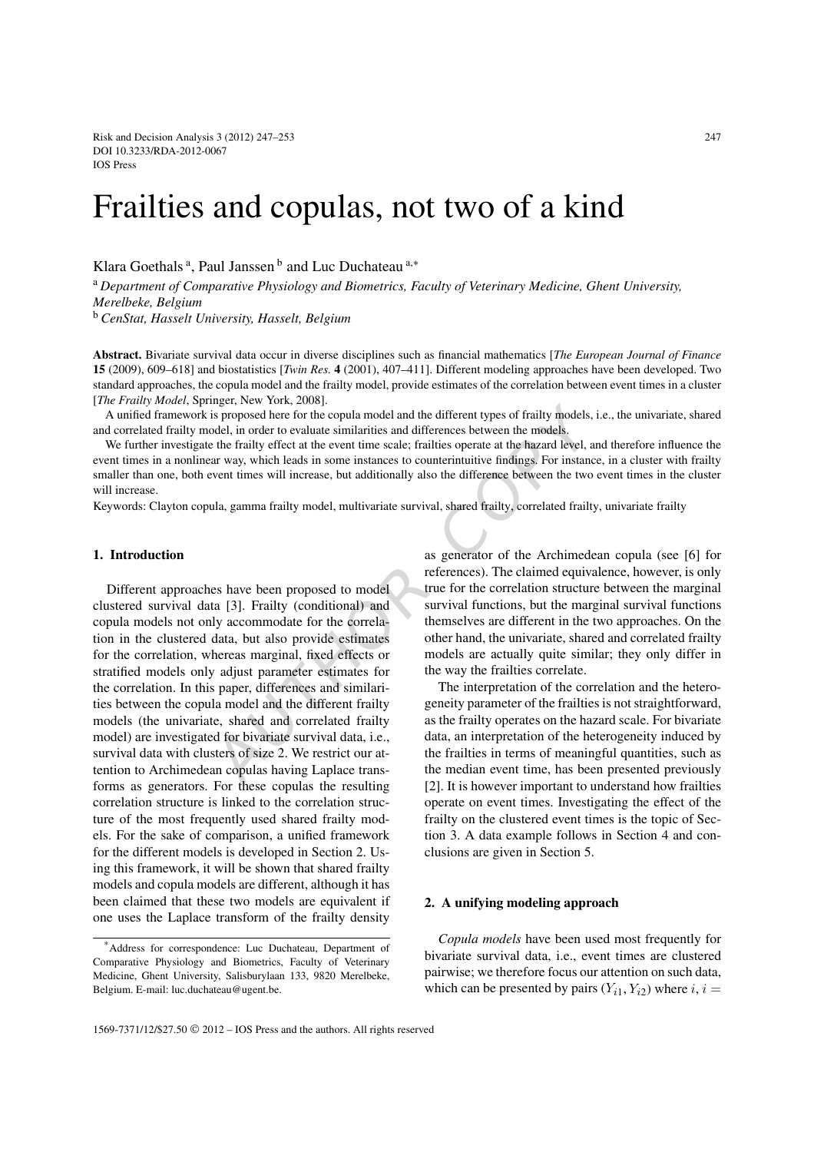Risk and Decision Analysis 3 (2012) 247–253 247 DOI 10.3233/RDA-2012-0067 IOS Press

# Frailties and copulas, not two of a kind

Klara Goethals<sup>a</sup>, Paul Janssen<sup>b</sup> and Luc Duchateau<sup>a,\*</sup>

<sup>a</sup> *Department of Comparative Physiology and Biometrics, Faculty of Veterinary Medicine, Ghent University, Merelbeke, Belgium*

<sup>b</sup> *CenStat, Hasselt University, Hasselt, Belgium*

**Abstract.** Bivariate survival data occur in diverse disciplines such as financial mathematics [*The European Journal of Finance* **15** (2009), 609–618] and biostatistics [*Twin Res.* **4** (2001), 407–411]. Different modeling approaches have been developed. Two standard approaches, the copula model and the frailty model, provide estimates of the correlation between event times in a cluster [*The Frailty Model*, Springer, New York, 2008].

A unified framework is proposed here for the copula model and the different types of frailty models, i.e., the univariate, shared and correlated frailty model, in order to evaluate similarities and differences between the models.

We further investigate the frailty effect at the event time scale; frailties operate at the hazard level, and therefore influence the event times in a nonlinear way, which leads in some instances to counterintuitive findings. For instance, in a cluster with frailty smaller than one, both event times will increase, but additionally also the difference between the two event times in the cluster will increase.

Keywords: Clayton copula, gamma frailty model, multivariate survival, shared frailty, correlated frailty, univariate frailty

## **1. Introduction**

megic, two folks, 2006).<br>
is proposed here for the copula model and the different types of frailty models,<br>
in order to evaluate similarities and differences between the models.<br>
the frailty effect at the event time scale; Different approaches have been proposed to model clustered survival data [3]. Frailty (conditional) and copula models not only accommodate for the correlation in the clustered data, but also provide estimates for the correlation, whereas marginal, fixed effects or stratified models only adjust parameter estimates for the correlation. In this paper, differences and similarities between the copula model and the different frailty models (the univariate, shared and correlated frailty model) are investigated for bivariate survival data, i.e., survival data with clusters of size 2. We restrict our attention to Archimedean copulas having Laplace transforms as generators. For these copulas the resulting correlation structure is linked to the correlation structure of the most frequently used shared frailty models. For the sake of comparison, a unified framework for the different models is developed in Section 2. Using this framework, it will be shown that shared frailty models and copula models are different, although it has been claimed that these two models are equivalent if one uses the Laplace transform of the frailty density

as generator of the Archimedean copula (see [6] for references). The claimed equivalence, however, is only true for the correlation structure between the marginal survival functions, but the marginal survival functions themselves are different in the two approaches. On the other hand, the univariate, shared and correlated frailty models are actually quite similar; they only differ in the way the frailties correlate.

The interpretation of the correlation and the heterogeneity parameter of the frailties is not straightforward, as the frailty operates on the hazard scale. For bivariate data, an interpretation of the heterogeneity induced by the frailties in terms of meaningful quantities, such as the median event time, has been presented previously [2]. It is however important to understand how frailties operate on event times. Investigating the effect of the frailty on the clustered event times is the topic of Section 3. A data example follows in Section 4 and conclusions are given in Section 5.

## **2. A unifying modeling approach**

*Copula models* have been used most frequently for bivariate survival data, i.e., event times are clustered pairwise; we therefore focus our attention on such data, which can be presented by pairs  $(Y_{i1}, Y_{i2})$  where  $i, i =$ 

<sup>\*</sup>Address for correspondence: Luc Duchateau, Department of Comparative Physiology and Biometrics, Faculty of Veterinary Medicine, Ghent University, Salisburylaan 133, 9820 Merelbeke, Belgium. E-mail: luc.duchateau@ugent.be.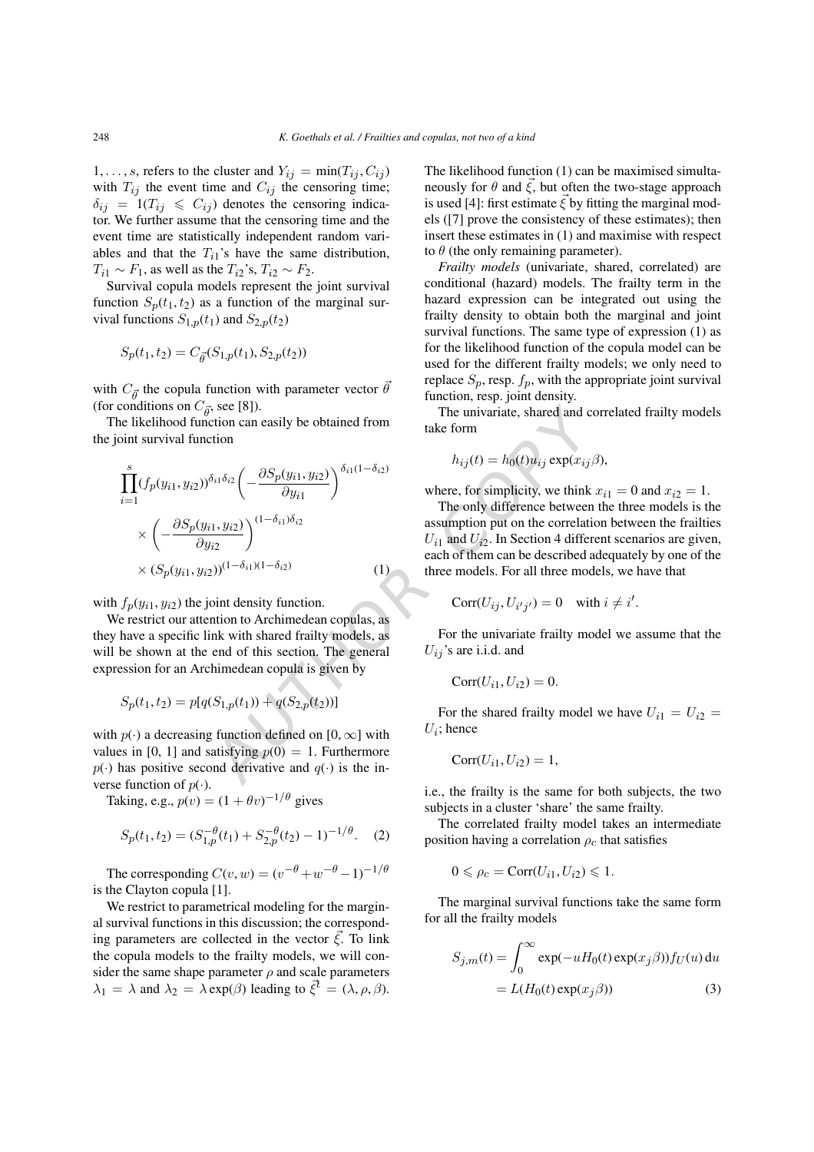1, ..., s, refers to the cluster and  $Y_{ij} = \min(T_{ij}, C_{ij})$ with  $T_{ij}$  the event time and  $C_{ij}$  the censoring time;  $\delta_{ij}$  = 1(T<sub>ij</sub>  $\leqslant C_{ij}$ ) denotes the censoring indicator. We further assume that the censoring time and the event time are statistically independent random variables and that the  $T_{i1}$ 's have the same distribution,  $T_{i1} \sim F_1$ , as well as the  $T_{i2}$ 's,  $T_{i2} \sim F_2$ .

Survival copula models represent the joint survival function  $S_p(t_1, t_2)$  as a function of the marginal survival functions  $S_{1,p}(t_1)$  and  $S_{2,p}(t_2)$ 

$$
S_p(t_1, t_2) = C_{\vec{\theta}}(S_{1,p}(t_1), S_{2,p}(t_2))
$$

with  $C_{\vec{\theta}}$  the copula function with parameter vector  $\vec{\theta}$ (for conditions on  $C_{\vec{\theta}}$ , see [8]).

The likelihood function can easily be obtained from the joint survival function

conditions on 
$$
C_{\vec{\theta}}
$$
, see [8]).  
\nthe likelihood function can easily be obtained from  
\noint survival function  
\n
$$
\prod_{i=1}^{s} (f_p(y_{i1}, y_{i2}))^{\delta_{i1}\delta_{i2}} \left( -\frac{\partial S_p(y_{i1}, y_{i2})}{\partial y_{i1}} \right)^{\delta_{i1}(1-\delta_{i2})}
$$
\nwhere, for simplicity, we think  
\n
$$
\times \left( -\frac{\partial S_p(y_{i1}, y_{i2})}{\partial y_{i2}} \right)^{(1-\delta_{i1})\delta_{i2}}
$$
\n
$$
\times (S_p(y_{i1}, y_{i2}))^{(1-\delta_{i1})(1-\delta_{i2})}
$$
\n
$$
\times (S_p(y_{i1}, y_{i2}))^{(1-\delta_{i1})(1-\delta_{i2})}
$$
\n
$$
\times (S_p(y_{i1}, y_{i2}))^{(1-\delta_{i1})(1-\delta_{i2})}
$$
\n
$$
= (1)
$$
\n
$$
f_p(y_{i1}, y_{i2})
$$
\nthe joint density function.  
\n
$$
F_p(y_{i1}, y_{i2}) = \int_{\text{F}(1)} \text{F}(y_{i1}, y_{i2}) \text{ the joint density function.}
$$
\n
$$
F_p(y_{i1}, y_{i2}) = \int_{\text{F}(1)} \text{F}(y_{i1}, y_{i2}) \text{ the joint density function.}
$$
\n
$$
= (1)
$$
\n
$$
S_p(t_1, t_2) = p[q(S_{1,p}(t_1)) + q(S_{2,p}(t_2))]
$$
\nFor the shared fairly model  
\n
$$
p(\cdot)
$$
\na decreasing function defined on  $[0, \infty]$  with  
\n
$$
p(\cdot)
$$
\na  $\text{d$  and  $[0, 1]$  and satisfying  $p(0) = 1$ . Furthermore  
\nhas positive second derivative and  $q(\cdot)$  is the in-  
\n
$$
F_p(y_{i1}, y_{i2}) = 1
$$
,

with  $f_p(y_{i1}, y_{i2})$  the joint density function.

We restrict our attention to Archimedean copulas, as they have a specific link with shared frailty models, as will be shown at the end of this section. The general expression for an Archimedean copula is given by

$$
S_p(t_1, t_2) = p[q(S_{1,p}(t_1)) + q(S_{2,p}(t_2))]
$$

with  $p(\cdot)$  a decreasing function defined on  $[0, \infty]$  with values in [0, 1] and satisfying  $p(0) = 1$ . Furthermore  $p(\cdot)$  has positive second derivative and  $q(\cdot)$  is the inverse function of  $p(\cdot)$ .

Taking, e.g.,  $p(v) = (1 + \theta v)^{-1/\theta}$  gives

$$
S_p(t_1, t_2) = (S_{1,p}^{-\theta}(t_1) + S_{2,p}^{-\theta}(t_2) - 1)^{-1/\theta}.
$$
 (2)

The corresponding  $C(v, w) = (v^{-\theta} + w^{-\theta} - 1)^{-1/\theta}$ is the Clayton copula [1].

We restrict to parametrical modeling for the marginal survival functions in this discussion; the corresponding parameters are collected in the vector  $\vec{\xi}$ . To link the copula models to the frailty models, we will consider the same shape parameter  $\rho$  and scale parameters  $\lambda_1 = \lambda$  and  $\lambda_2 = \lambda \exp(\beta)$  leading to  $\vec{\xi}^t = (\lambda, \rho, \beta)$ . The likelihood function (1) can be maximised simultaneously for  $\theta$  and  $\xi$ , but often the two-stage approach is used [4]: first estimate  $\vec{\xi}$  by fitting the marginal models ([7] prove the consistency of these estimates); then insert these estimates in (1) and maximise with respect to  $\theta$  (the only remaining parameter).

*Frailty models* (univariate, shared, correlated) are conditional (hazard) models. The frailty term in the hazard expression can be integrated out using the frailty density to obtain both the marginal and joint survival functions. The same type of expression (1) as for the likelihood function of the copula model can be used for the different frailty models; we only need to replace  $S_p$ , resp.  $f_p$ , with the appropriate joint survival function, resp. joint density.

The univariate, shared and correlated frailty models take form

$$
u_{ij}(t) = h_0(t)u_{ij} \exp(x_{ij}\beta),
$$

 $\overline{t}$ 

where, for simplicity, we think  $x_{i1} = 0$  and  $x_{i2} = 1$ .

The only difference between the three models is the assumption put on the correlation between the frailties  $U_{i1}$  and  $U_{i2}$ . In Section 4 different scenarios are given, each of them can be described adequately by one of the three models. For all three models, we have that

$$
Corr(U_{ij}, U_{i'j'}) = 0 \quad \text{with } i \neq i'.
$$

For the univariate frailty model we assume that the  $U_{ij}$ 's are i.i.d. and

$$
Corr(U_{i1}, U_{i2}) = 0.
$$

For the shared frailty model we have  $U_{i1} = U_{i2} =$  $U_i$ ; hence

$$
Corr(U_{i1}, U_{i2}) = 1,
$$

i.e., the frailty is the same for both subjects, the two subjects in a cluster 'share' the same frailty.

The correlated frailty model takes an intermediate position having a correlation  $\rho_c$  that satisfies

$$
0 \leqslant \rho_c = \text{Corr}(U_{i1}, U_{i2}) \leqslant 1.
$$

The marginal survival functions take the same form for all the frailty models

$$
S_{j,m}(t) = \int_0^\infty \exp(-uH_0(t)\exp(x_j\beta))f_U(u) du
$$
  
=  $L(H_0(t)\exp(x_j\beta))$  (3)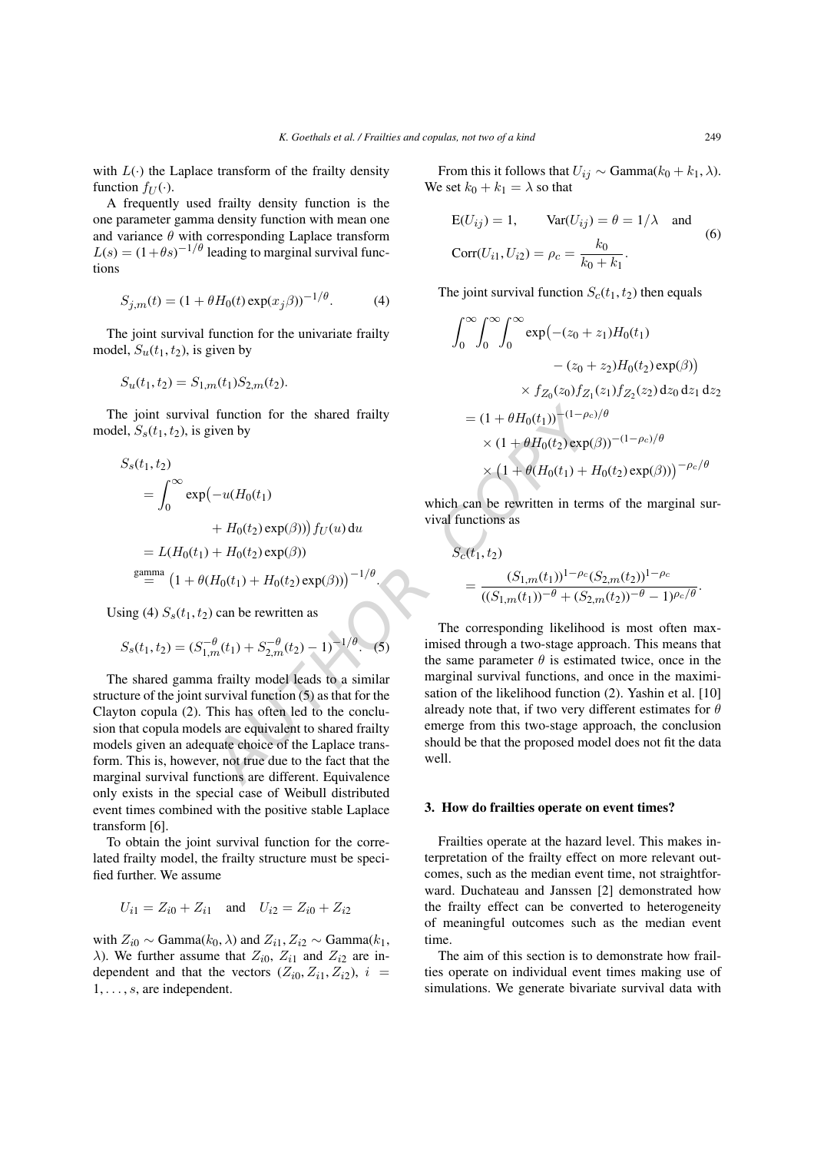.

with  $L(\cdot)$  the Laplace transform of the frailty density function  $f_U(\cdot)$ .

A frequently used frailty density function is the one parameter gamma density function with mean one and variance  $\theta$  with corresponding Laplace transform  $L(s) = (1 + \theta s)^{-1/\theta}$  leading to marginal survival functions

$$
S_{j,m}(t) = (1 + \theta H_0(t) \exp(x_j \beta))^{-1/\theta}.
$$
 (4)

The joint survival function for the univariate frailty model,  $S_u(t_1, t_2)$ , is given by

$$
S_u(t_1, t_2) = S_{1,m}(t_1) S_{2,m}(t_2).
$$

The joint survival function for the shared frailty model,  $S_s(t_1, t_2)$ , is given by

$$
S_s(t_1, t_2)
$$
  
= 
$$
\int_0^\infty \exp(-u(H_0(t_1)
$$
  
+ 
$$
H_0(t_2) \exp(\beta))) f_U(u) du
$$
  
= 
$$
L(H_0(t_1) + H_0(t_2) \exp(\beta))
$$
  
gamma = 
$$
[1 + \theta(H_0(t_1) + H_0(t_2) \exp(\beta))]^{-1/\theta}
$$

Using (4)  $S_s(t_1, t_2)$  can be rewritten as

$$
S_s(t_1, t_2) = (S_{1,m}^{-\theta}(t_1) + S_{2,m}^{-\theta}(t_2) - 1)^{-1/\theta}.
$$
 (5)

The shared gamma frailty model leads to a similar structure of the joint survival function (5) as that for the Clayton copula (2). This has often led to the conclusion that copula models are equivalent to shared frailty models given an adequate choice of the Laplace transform. This is, however, not true due to the fact that the marginal survival functions are different. Equivalence only exists in the special case of Weibull distributed event times combined with the positive stable Laplace transform [6].

To obtain the joint survival function for the correlated frailty model, the frailty structure must be specified further. We assume

$$
U_{i1} = Z_{i0} + Z_{i1} \quad \text{and} \quad U_{i2} = Z_{i0} + Z_{i2}
$$

with  $Z_{i0} \sim \text{Gamma}(k_0, \lambda)$  and  $Z_{i1}$ ,  $Z_{i2} \sim \text{Gamma}(k_1, \lambda)$  $\lambda$ ). We further assume that  $Z_{i0}$ ,  $Z_{i1}$  and  $Z_{i2}$  are independent and that the vectors  $(Z_{i0}, Z_{i1}, Z_{i2}), i =$ 1, ... , s, are independent.

From this it follows that  $U_{ij} \sim \text{Gamma}(k_0 + k_1, \lambda)$ . We set  $k_0 + k_1 = \lambda$  so that

$$
E(U_{ij}) = 1, \qquad Var(U_{ij}) = \theta = 1/\lambda \quad \text{and}
$$
  
\n
$$
Corr(U_{i1}, U_{i2}) = \rho_c = \frac{k_0}{k_0 + k_1}.
$$
\n(6)

The joint survival function  $S_c(t_1, t_2)$  then equals

$$
\int_0^\infty \int_0^\infty \int_0^\infty \exp(-(z_0 + z_1)H_0(t_1) - (z_0 + z_2)H_0(t_2) \exp(\beta))
$$
  
 
$$
\times f_{Z_0}(z_0) f_{Z_1}(z_1) f_{Z_2}(z_2) dz_0 dz_1 dz_2
$$
  
= 
$$
(1 + \theta H_0(t_1))^{-(1 - \rho_c)/\theta}
$$
  
 
$$
\times (1 + \theta H_0(t_2) \exp(\beta))^{-(1 - \rho_c)/\theta}
$$
  
 
$$
\times (1 + \theta (H_0(t_1) + H_0(t_2) \exp(\beta)))^{-\rho_c/\theta}
$$

which can be rewritten in terms of the marginal survival functions as

$$
S_c(t_1, t_2)
$$
  
= 
$$
\frac{(S_{1,m}(t_1))^{1-\rho_c}(S_{2,m}(t_2))^{1-\rho_c}}{((S_{1,m}(t_1))^{-\theta} + (S_{2,m}(t_2))^{-\theta} - 1)^{\rho_c/\theta}}.
$$

function for the shared frailty<br>  $(u + \theta H_0(t_1))$ <br>  $(u + \theta H_0(t_2) \exp(\theta))$ <br>  $(u + \theta H_0(t_2) \exp(\theta))$ <br>  $(u + \theta H_0(t_2) \exp(\theta))$ <br>  $(u + \theta H_0(t_2) \exp(\theta))$ <br>  $\theta H_0(t_1) + \theta H_0(t_2) \exp(\theta)$ <br>  $\theta H_0(t_1) + \theta H_0(t_2) \exp(\theta)$ <br>  $\theta H_0(t_1) + \theta H_0(t_2) \exp(\theta)$ <br>  $\theta H_0(t_1$ The corresponding likelihood is most often maximised through a two-stage approach. This means that the same parameter  $\theta$  is estimated twice, once in the marginal survival functions, and once in the maximisation of the likelihood function (2). Yashin et al. [10] already note that, if two very different estimates for  $\theta$ emerge from this two-stage approach, the conclusion should be that the proposed model does not fit the data well.

## **3. How do frailties operate on event times?**

Frailties operate at the hazard level. This makes interpretation of the frailty effect on more relevant outcomes, such as the median event time, not straightforward. Duchateau and Janssen [2] demonstrated how the frailty effect can be converted to heterogeneity of meaningful outcomes such as the median event time.

The aim of this section is to demonstrate how frailties operate on individual event times making use of simulations. We generate bivariate survival data with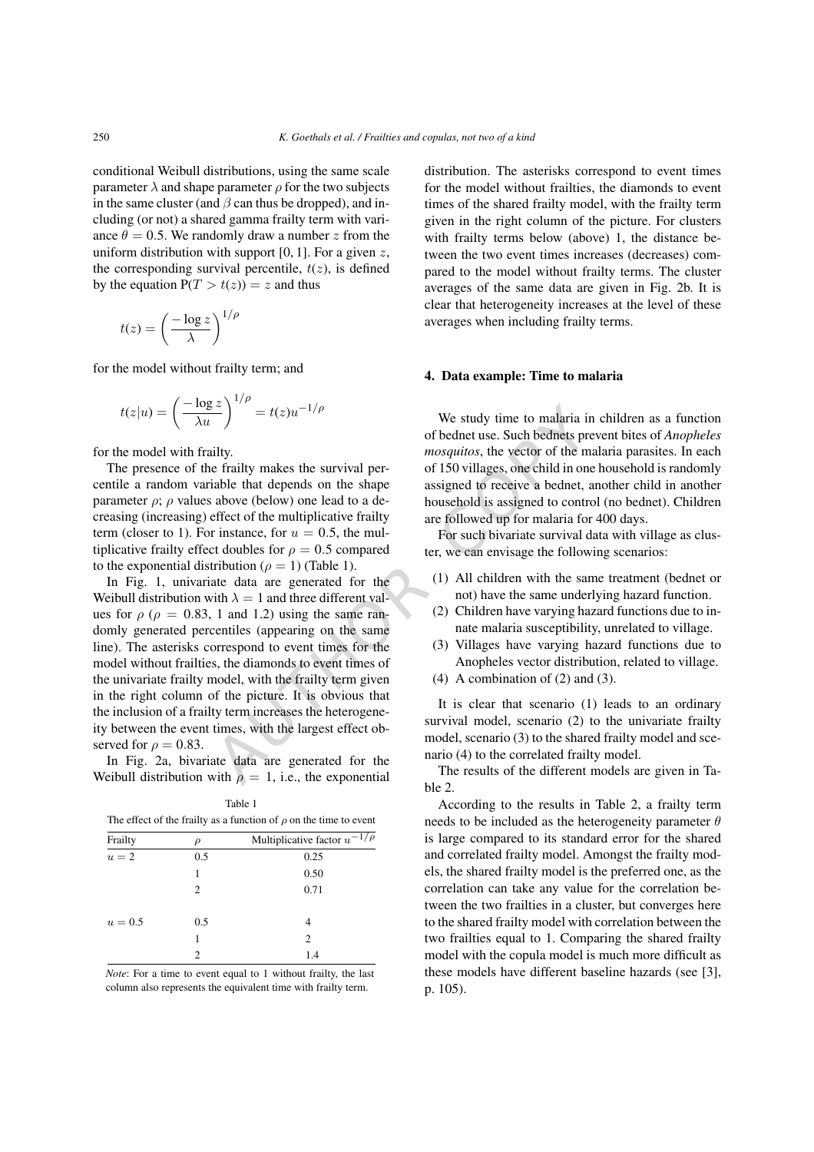conditional Weibull distributions, using the same scale parameter  $\lambda$  and shape parameter  $\rho$  for the two subjects in the same cluster (and  $\beta$  can thus be dropped), and including (or not) a shared gamma frailty term with variance  $\theta = 0.5$ . We randomly draw a number z from the uniform distribution with support  $[0, 1]$ . For a given  $z$ , the corresponding survival percentile,  $t(z)$ , is defined by the equation  $P(T > t(z)) = z$  and thus

$$
t(z) = \left(\frac{-\log z}{\lambda}\right)^{1/\rho}
$$

for the model without frailty term; and

$$
t(z|u) = \left(\frac{-\log z}{\lambda u}\right)^{1/\rho} = t(z)u^{-1/\rho}
$$

for the model with frailty.

The presence of the frailty makes the survival percentile a random variable that depends on the shape parameter  $\rho$ ;  $\rho$  values above (below) one lead to a decreasing (increasing) effect of the multiplicative frailty term (closer to 1). For instance, for  $u = 0.5$ , the multiplicative frailty effect doubles for  $\rho = 0.5$  compared to the exponential distribution ( $\rho = 1$ ) (Table 1).

AUTHOR COPY In Fig. 1, univariate data are generated for the Weibull distribution with  $\lambda = 1$  and three different values for  $\rho$  ( $\rho = 0.83$ , 1 and 1.2) using the same randomly generated percentiles (appearing on the same line). The asterisks correspond to event times for the model without frailties, the diamonds to event times of the univariate frailty model, with the frailty term given in the right column of the picture. It is obvious that the inclusion of a frailty term increases the heterogeneity between the event times, with the largest effect observed for  $\rho = 0.83$ .

In Fig. 2a, bivariate data are generated for the Weibull distribution with  $\rho = 1$ , i.e., the exponential

The effect of the frailty as a function of  $\rho$  on the time to event  $\rho$  Multiplicative factor u −

Table 1

| Frailty | D              | Multiplicative factor $u^{-1/\rho}$ |  |
|---------|----------------|-------------------------------------|--|
| $u=2$   | 0.5            | 0.25                                |  |
|         |                | 0.50                                |  |
|         | 2              | 0.71                                |  |
| $u=0.5$ | 0.5            | 4                                   |  |
|         |                | $\overline{c}$                      |  |
|         | $\mathfrak{D}$ | 1.4                                 |  |

*Note*: For a time to event equal to 1 without frailty, the last column also represents the equivalent time with frailty term.

distribution. The asterisks correspond to event times for the model without frailties, the diamonds to event times of the shared frailty model, with the frailty term given in the right column of the picture. For clusters with frailty terms below (above) 1, the distance between the two event times increases (decreases) compared to the model without frailty terms. The cluster averages of the same data are given in Fig. 2b. It is clear that heterogeneity increases at the level of these averages when including frailty terms.

#### **4. Data example: Time to malaria**

We study time to malaria in children as a function of bednet use. Such bednets prevent bites of *Anopheles mosquitos*, the vector of the malaria parasites. In each of 150 villages, one child in one household is randomly assigned to receive a bednet, another child in another household is assigned to control (no bednet). Children are followed up for malaria for 400 days.

For such bivariate survival data with village as cluster, we can envisage the following scenarios:

- (1) All children with the same treatment (bednet or not) have the same underlying hazard function.
- (2) Children have varying hazard functions due to innate malaria susceptibility, unrelated to village.
- (3) Villages have varying hazard functions due to Anopheles vector distribution, related to village.
- (4) A combination of (2) and (3).

It is clear that scenario (1) leads to an ordinary survival model, scenario (2) to the univariate frailty model, scenario (3) to the shared frailty model and scenario (4) to the correlated frailty model.

The results of the different models are given in Table 2.

According to the results in Table 2, a frailty term needs to be included as the heterogeneity parameter  $\theta$ is large compared to its standard error for the shared and correlated frailty model. Amongst the frailty models, the shared frailty model is the preferred one, as the correlation can take any value for the correlation between the two frailties in a cluster, but converges here to the shared frailty model with correlation between the two frailties equal to 1. Comparing the shared frailty model with the copula model is much more difficult as these models have different baseline hazards (see [3], p. 105).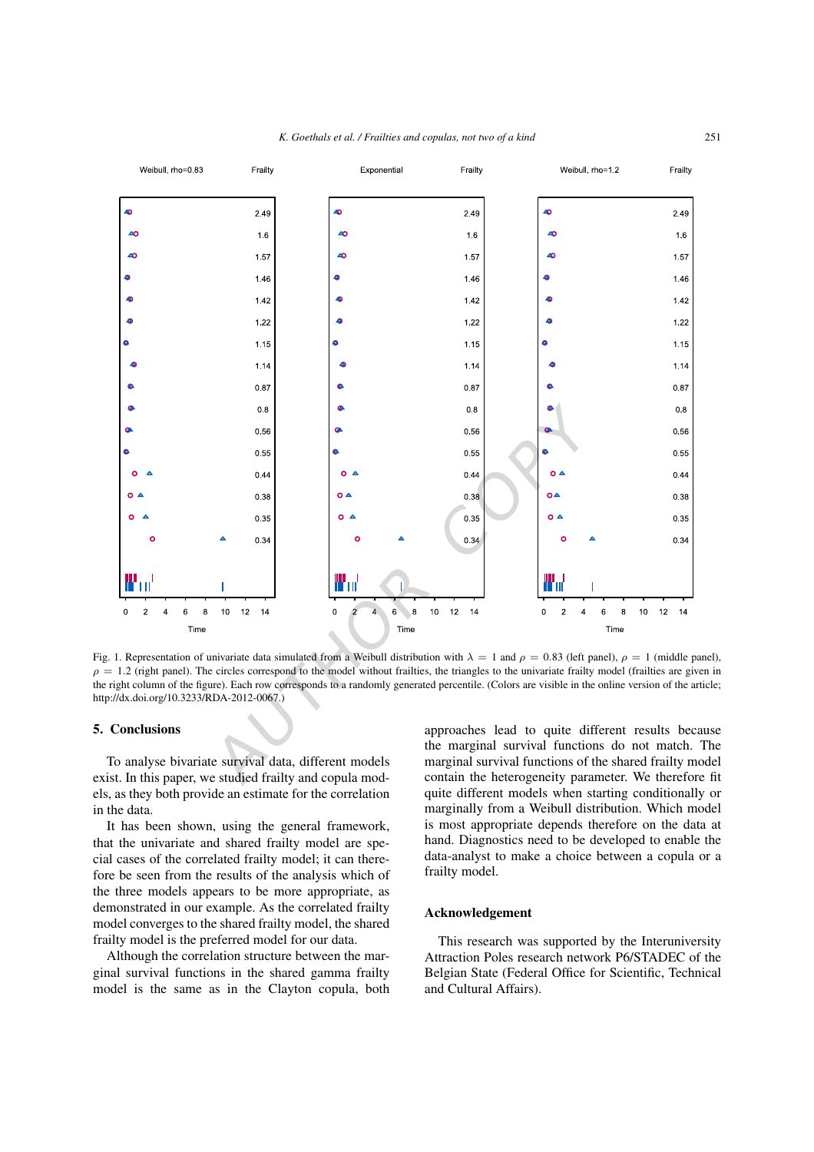

Fig. 1. Representation of univariate data simulated from a Weibull distribution with  $\lambda = 1$  and  $\rho = 0.83$  (left panel),  $\rho = 1$  (middle panel),  $\rho = 1.2$  (right panel). The circles correspond to the model without frailties, the triangles to the univariate frailty model (frailties are given in the right column of the figure). Each row corresponds to a randomly generated percentile. (Colors are visible in the online version of the article; http://dx.doi.org/10.3233/RDA-2012-0067.)

#### **5. Conclusions**

To analyse bivariate survival data, different models exist. In this paper, we studied frailty and copula models, as they both provide an estimate for the correlation in the data.

It has been shown, using the general framework, that the univariate and shared frailty model are special cases of the correlated frailty model; it can therefore be seen from the results of the analysis which of the three models appears to be more appropriate, as demonstrated in our example. As the correlated frailty model converges to the shared frailty model, the shared frailty model is the preferred model for our data.

Although the correlation structure between the marginal survival functions in the shared gamma frailty model is the same as in the Clayton copula, both approaches lead to quite different results because the marginal survival functions do not match. The marginal survival functions of the shared frailty model contain the heterogeneity parameter. We therefore fit quite different models when starting conditionally or marginally from a Weibull distribution. Which model is most appropriate depends therefore on the data at hand. Diagnostics need to be developed to enable the data-analyst to make a choice between a copula or a frailty model.

# **Acknowledgement**

This research was supported by the Interuniversity Attraction Poles research network P6/STADEC of the Belgian State (Federal Office for Scientific, Technical and Cultural Affairs).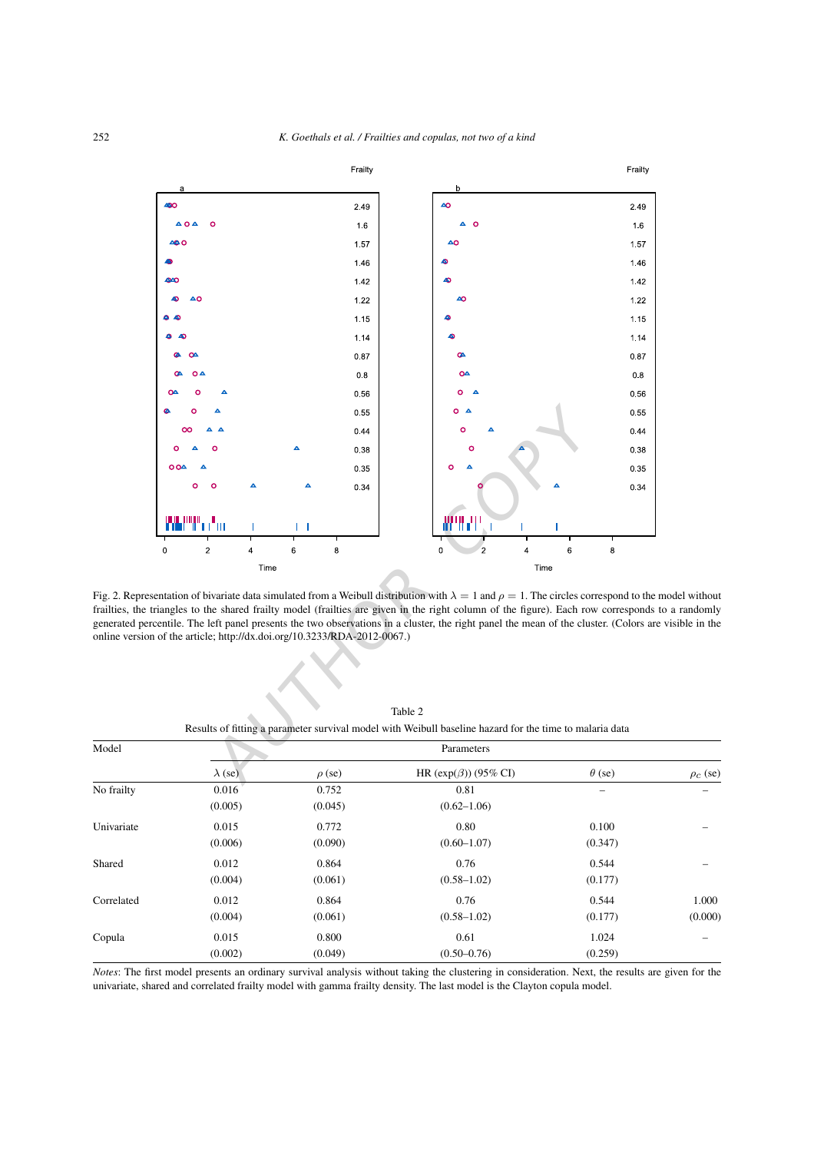

Fig. 2. Representation of bivariate data simulated from a Weibull distribution with  $\lambda = 1$  and  $\rho = 1$ . The circles correspond to the model without frailties, the triangles to the shared frailty model (frailties are given in the right column of the figure). Each row corresponds to a randomly generated percentile. The left panel presents the two observations in a cluster, the right panel the mean of the cluster. (Colors are visible in the online version of the article; http://dx.doi.org/10.3233/RDA-2012-0067.)

| Model      |                |             | Parameters                 |               |                 |
|------------|----------------|-------------|----------------------------|---------------|-----------------|
|            | $\lambda$ (se) | $\rho$ (se) | HR $(exp(\beta))$ (95% CI) | $\theta$ (se) | $\rho_c$ (se)   |
| No frailty | 0.016          | 0.752       | 0.81                       | —             | $\qquad \qquad$ |
|            | (0.005)        | (0.045)     | $(0.62 - 1.06)$            |               |                 |
| Univariate | 0.015          | 0.772       | 0.80                       | 0.100         |                 |
|            | (0.006)        | (0.090)     | $(0.60 - 1.07)$            | (0.347)       |                 |
| Shared     | 0.012          | 0.864       | 0.76                       | 0.544         |                 |
|            | (0.004)        | (0.061)     | $(0.58 - 1.02)$            | (0.177)       |                 |
| Correlated | 0.012          | 0.864       | 0.76                       | 0.544         | 1.000           |
|            | (0.004)        | (0.061)     | $(0.58 - 1.02)$            | (0.177)       | (0.000)         |
| Copula     | 0.015          | 0.800       | 0.61                       | 1.024         |                 |
|            | (0.002)        | (0.049)     | $(0.50 - 0.76)$            | (0.259)       |                 |

Table 2 Results of fitting a parameter survival model with Weibull baseline hazard for the time to malaria data

*Notes*: The first model presents an ordinary survival analysis without taking the clustering in consideration. Next, the results are given for the univariate, shared and correlated frailty model with gamma frailty density. The last model is the Clayton copula model.